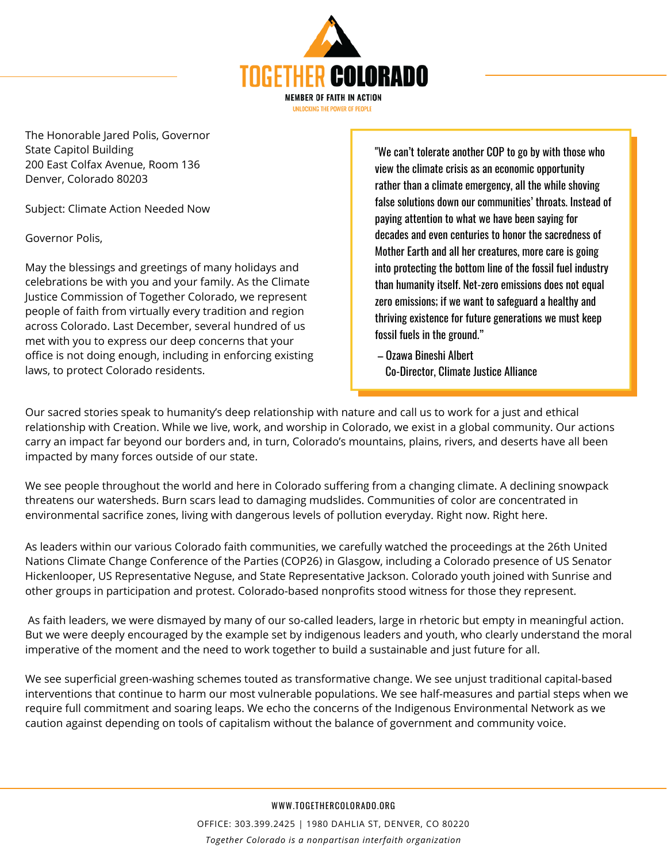

The Honorable Jared Polis, Governor State Capitol Building 200 East Colfax Avenue, Room 136 Denver, Colorado 80203

Subject: Climate Action Needed Now

Governor Polis,

May the blessings and greetings of many holidays and celebrations be with you and your family. As the Climate Justice Commission of Together Colorado, we represent people of faith from virtually every tradition and region across Colorado. Last December, several hundred of us met with you to express our deep concerns that your office is not doing enough, including in enforcing existing laws, to protect Colorado residents.

"We can't tolerate another COP to go by with those who view the climate crisis as an economic opportunity rather than a climate emergency, all the while shoving false solutions down our communities' throats. Instead of paying attention to what we have been saying for decades and even centuries to honor the sacredness of Mother Earth and all her creatures, more care is going into protecting the bottom line of the fossil fuel industry than humanity itself. Net-zero emissions does not equal zero emissions; if we want to safeguard a healthy and thriving existence for future generations we must keep fossil fuels in the ground."

– Ozawa Bineshi Albert Co-Director, Climate Justice Alliance

Our sacred stories speak to humanity's deep relationship with nature and call us to work for a just and ethical relationship with Creation. While we live, work, and worship in Colorado, we exist in a global community. Our actions carry an impact far beyond our borders and, in turn, Colorado's mountains, plains, rivers, and deserts have all been impacted by many forces outside of our state.

We see people throughout the world and here in Colorado suffering from a changing climate. A declining snowpack threatens our watersheds. Burn scars lead to damaging mudslides. Communities of color are concentrated in environmental sacrifice zones, living with dangerous levels of pollution everyday. Right now. Right here.

As leaders within our various Colorado faith communities, we carefully watched the proceedings at the 26th United Nations Climate Change Conference of the Parties (COP26) in Glasgow, including a Colorado presence of US Senator Hickenlooper, US Representative Neguse, and State Representative Jackson. Colorado youth joined with Sunrise and other groups in participation and protest. Colorado-based nonprofits stood witness for those they represent.

As faith leaders, we were dismayed by many of our so-called leaders, large in rhetoric but empty in meaningful action. But we were deeply encouraged by the example set by indigenous leaders and youth, who clearly understand the moral imperative of the moment and the need to work together to build a sustainable and just future for all.

We see superficial green-washing schemes touted as transformative change. We see unjust traditional capital-based interventions that continue to harm our most vulnerable populations. We see half-measures and partial steps when we require full commitment and soaring leaps. We echo the concerns of the Indigenous Environmental Network as we caution against depending on tools of capitalism without the balance of government and community voice.

WWW.TOGETHERCOLORADO.ORG

OFFICE: 303.399.2425 | 1980 DAHLIA ST, DENVER, CO 80220 *Together Colorado is a nonpartisan interfaith organization*